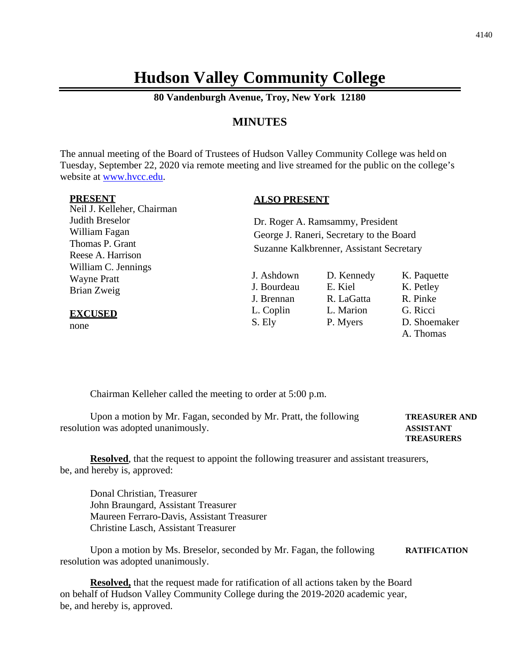# **Hudson Valley Community College**

**80 Vandenburgh Avenue, Troy, New York 12180**

## **MINUTES**

The annual meeting of the Board of Trustees of Hudson Valley Community College was held on Tuesday, September 22, 2020 via remote meeting and live streamed for the public on the college's website at [www.hvcc.edu.](http://www.hvcc.edu/)

#### **PRESENT**

Neil J. Kelleher, Chairman Judith Breselor William Fagan Thomas P. Grant Reese A. Harrison William C. Jennings Wayne Pratt Brian Zweig

#### **EXCUSED**

none

### **ALSO PRESENT**

Dr. Roger A. Ramsammy, President George J. Raneri, Secretary to the Board Suzanne Kalkbrenner, Assistant Secretary

J. Ashdown D. Kennedy K. Paquette J. Bourdeau E. Kiel K. Petley J. Brennan R. LaGatta R. Pinke L. Coplin L. Marion G. Ricci S. Ely P. Myers D. Shoemaker

A. Thomas

Chairman Kelleher called the meeting to order at 5:00 p.m.

| Upon a motion by Mr. Fagan, seconded by Mr. Pratt, the following | <b>TREASURER AND</b> |
|------------------------------------------------------------------|----------------------|
| resolution was adopted unanimously.                              | <b>ASSISTANT</b>     |
|                                                                  | <b>TREASURERS</b>    |

**Resolved**, that the request to appoint the following treasurer and assistant treasurers, be, and hereby is, approved:

Donal Christian, Treasurer John Braungard, Assistant Treasurer Maureen Ferraro-Davis, Assistant Treasurer Christine Lasch, Assistant Treasurer

Upon a motion by Ms. Breselor, seconded by Mr. Fagan, the following **RATIFICATION** resolution was adopted unanimously.

**Resolved,** that the request made for ratification of all actions taken by the Board on behalf of Hudson Valley Community College during the 2019-2020 academic year, be, and hereby is, approved.